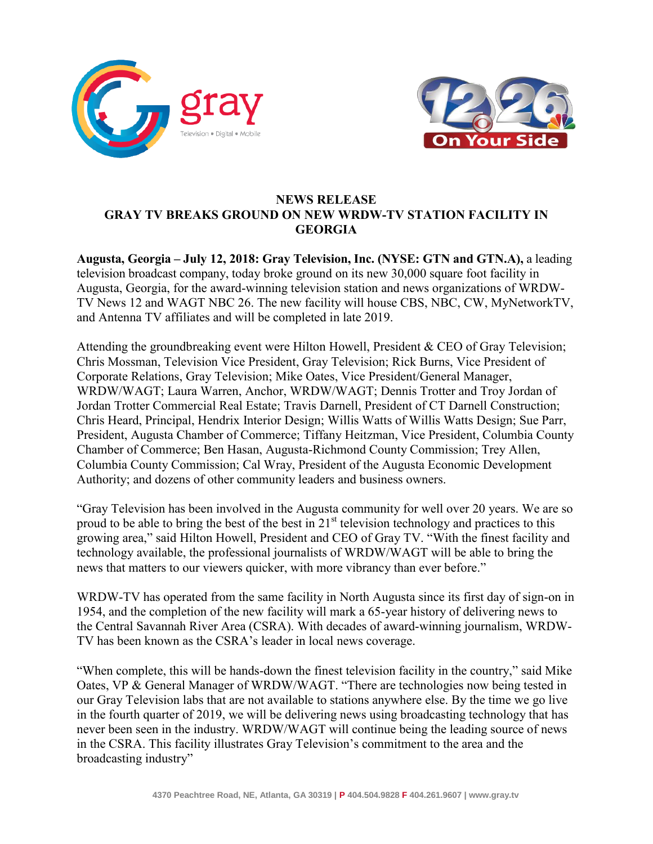



# **NEWS RELEASE GRAY TV BREAKS GROUND ON NEW WRDW-TV STATION FACILITY IN GEORGIA**

**Augusta, Georgia – July 12, 2018: Gray Television, Inc. (NYSE: GTN and GTN.A),** a leading television broadcast company, today broke ground on its new 30,000 square foot facility in Augusta, Georgia, for the award-winning television station and news organizations of WRDW-TV News 12 and WAGT NBC 26. The new facility will house CBS, NBC, CW, MyNetworkTV, and Antenna TV affiliates and will be completed in late 2019.

Attending the groundbreaking event were Hilton Howell, President & CEO of Gray Television; Chris Mossman, Television Vice President, Gray Television; Rick Burns, Vice President of Corporate Relations, Gray Television; Mike Oates, Vice President/General Manager, WRDW/WAGT; Laura Warren, Anchor, WRDW/WAGT; Dennis Trotter and Troy Jordan of Jordan Trotter Commercial Real Estate; Travis Darnell, President of CT Darnell Construction; Chris Heard, Principal, Hendrix Interior Design; Willis Watts of Willis Watts Design; Sue Parr, President, Augusta Chamber of Commerce; Tiffany Heitzman, Vice President, Columbia County Chamber of Commerce; Ben Hasan, Augusta-Richmond County Commission; Trey Allen, Columbia County Commission; Cal Wray, President of the Augusta Economic Development Authority; and dozens of other community leaders and business owners.

"Gray Television has been involved in the Augusta community for well over 20 years. We are so proud to be able to bring the best of the best in  $21<sup>st</sup>$  television technology and practices to this growing area," said Hilton Howell, President and CEO of Gray TV. "With the finest facility and technology available, the professional journalists of WRDW/WAGT will be able to bring the news that matters to our viewers quicker, with more vibrancy than ever before."

WRDW-TV has operated from the same facility in North Augusta since its first day of sign-on in 1954, and the completion of the new facility will mark a 65-year history of delivering news to the Central Savannah River Area (CSRA). With decades of award-winning journalism, WRDW-TV has been known as the CSRA's leader in local news coverage.

"When complete, this will be hands-down the finest television facility in the country," said Mike Oates, VP & General Manager of WRDW/WAGT. "There are technologies now being tested in our Gray Television labs that are not available to stations anywhere else. By the time we go live in the fourth quarter of 2019, we will be delivering news using broadcasting technology that has never been seen in the industry. WRDW/WAGT will continue being the leading source of news in the CSRA. This facility illustrates Gray Television's commitment to the area and the broadcasting industry"